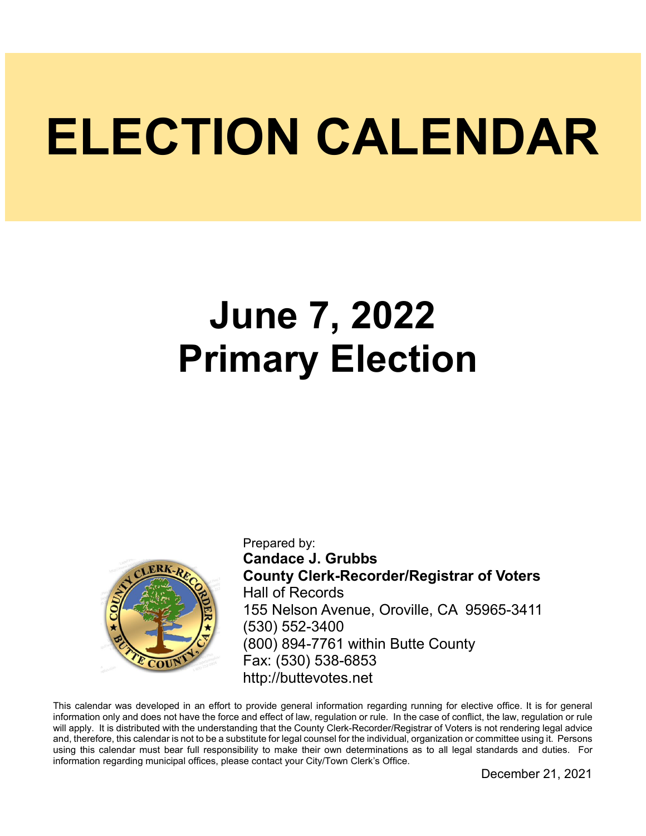# **ELECTION CALENDAR**

## **June 7, 2022 Primary Election**



Prepared by: **Candace J. Grubbs County Clerk-Recorder/Registrar of Voters** Hall of Records 155 Nelson Avenue, Oroville, CA 95965-3411 (530) 552-3400 (800) 894-7761 within Butte County Fax: (530) 538-6853 http://buttevotes.net

This calendar was developed in an effort to provide general information regarding running for elective office. It is for general information only and does not have the force and effect of law, regulation or rule. In the case of conflict, the law, regulation or rule will apply. It is distributed with the understanding that the County Clerk-Recorder/Registrar of Voters is not rendering legal advice and, therefore, this calendar is not to be a substitute for legal counsel for the individual, organization or committee using it. Persons using this calendar must bear full responsibility to make their own determinations as to all legal standards and duties. For information regarding municipal offices, please contact your City/Town Clerk's Office.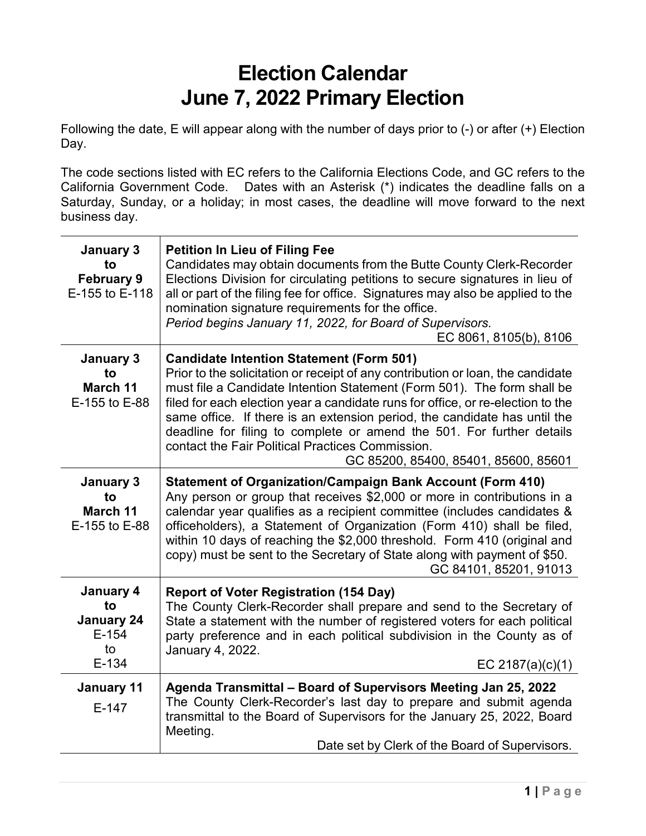### **Election Calendar June 7, 2022 Primary Election**

Following the date, E will appear along with the number of days prior to (-) or after (+) Election Day.

The code sections listed with EC refers to the California Elections Code, and GC refers to the California Government Code. Dates with an Asterisk (\*) indicates the deadline falls on a Saturday, Sunday, or a holiday; in most cases, the deadline will move forward to the next business day.

| January 3<br>to<br><b>February 9</b><br>E-155 to E-118           | <b>Petition In Lieu of Filing Fee</b><br>Candidates may obtain documents from the Butte County Clerk-Recorder<br>Elections Division for circulating petitions to secure signatures in lieu of<br>all or part of the filing fee for office. Signatures may also be applied to the<br>nomination signature requirements for the office.<br>Period begins January 11, 2022, for Board of Supervisors.<br>EC 8061, 8105(b), 8106                                                                                                                       |
|------------------------------------------------------------------|----------------------------------------------------------------------------------------------------------------------------------------------------------------------------------------------------------------------------------------------------------------------------------------------------------------------------------------------------------------------------------------------------------------------------------------------------------------------------------------------------------------------------------------------------|
| January 3<br>to<br>March 11<br>E-155 to E-88                     | <b>Candidate Intention Statement (Form 501)</b><br>Prior to the solicitation or receipt of any contribution or loan, the candidate<br>must file a Candidate Intention Statement (Form 501). The form shall be<br>filed for each election year a candidate runs for office, or re-election to the<br>same office. If there is an extension period, the candidate has until the<br>deadline for filing to complete or amend the 501. For further details<br>contact the Fair Political Practices Commission.<br>GC 85200, 85400, 85401, 85600, 85601 |
| January 3<br>to<br>March 11<br>E-155 to E-88                     | <b>Statement of Organization/Campaign Bank Account (Form 410)</b><br>Any person or group that receives \$2,000 or more in contributions in a<br>calendar year qualifies as a recipient committee (includes candidates &<br>officeholders), a Statement of Organization (Form 410) shall be filed,<br>within 10 days of reaching the \$2,000 threshold. Form 410 (original and<br>copy) must be sent to the Secretary of State along with payment of \$50.<br>GC 84101, 85201, 91013                                                                |
| January 4<br>to<br><b>January 24</b><br>$E-154$<br>to<br>$E-134$ | <b>Report of Voter Registration (154 Day)</b><br>The County Clerk-Recorder shall prepare and send to the Secretary of<br>State a statement with the number of registered voters for each political<br>party preference and in each political subdivision in the County as of<br>January 4, 2022.<br>EC 2187(a) $(c)(1)$                                                                                                                                                                                                                            |
| January 11<br>$E-147$                                            | Agenda Transmittal - Board of Supervisors Meeting Jan 25, 2022<br>The County Clerk-Recorder's last day to prepare and submit agenda<br>transmittal to the Board of Supervisors for the January 25, 2022, Board<br>Meeting.<br>Date set by Clerk of the Board of Supervisors.                                                                                                                                                                                                                                                                       |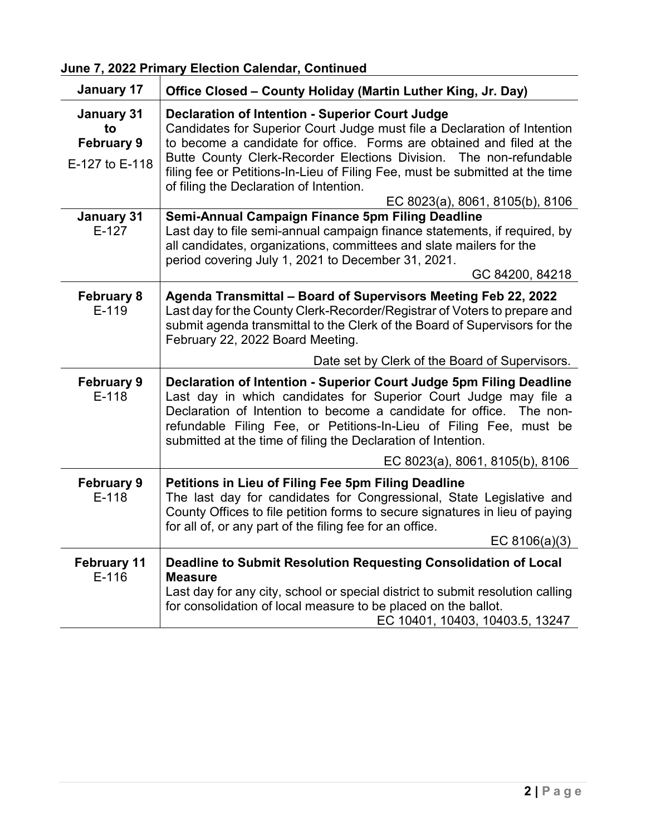**June 7, 2022 Primary Election Calendar, Continued**

| January 17                                                     | Office Closed – County Holiday (Martin Luther King, Jr. Day)                                                                                                                                                                                                                                                                                                                                                                                    |
|----------------------------------------------------------------|-------------------------------------------------------------------------------------------------------------------------------------------------------------------------------------------------------------------------------------------------------------------------------------------------------------------------------------------------------------------------------------------------------------------------------------------------|
| <b>January 31</b><br>to<br><b>February 9</b><br>E-127 to E-118 | <b>Declaration of Intention - Superior Court Judge</b><br>Candidates for Superior Court Judge must file a Declaration of Intention<br>to become a candidate for office. Forms are obtained and filed at the<br>Butte County Clerk-Recorder Elections Division. The non-refundable<br>filing fee or Petitions-In-Lieu of Filing Fee, must be submitted at the time<br>of filing the Declaration of Intention.<br>EC 8023(a), 8061, 8105(b), 8106 |
| <b>January 31</b><br>$E-127$                                   | Semi-Annual Campaign Finance 5pm Filing Deadline<br>Last day to file semi-annual campaign finance statements, if required, by<br>all candidates, organizations, committees and slate mailers for the<br>period covering July 1, 2021 to December 31, 2021.<br>GC 84200, 84218                                                                                                                                                                   |
| <b>February 8</b><br>$E-119$                                   | Agenda Transmittal - Board of Supervisors Meeting Feb 22, 2022<br>Last day for the County Clerk-Recorder/Registrar of Voters to prepare and<br>submit agenda transmittal to the Clerk of the Board of Supervisors for the<br>February 22, 2022 Board Meeting.                                                                                                                                                                                   |
|                                                                | Date set by Clerk of the Board of Supervisors.                                                                                                                                                                                                                                                                                                                                                                                                  |
| <b>February 9</b><br>$E-118$                                   | Declaration of Intention - Superior Court Judge 5pm Filing Deadline<br>Last day in which candidates for Superior Court Judge may file a<br>Declaration of Intention to become a candidate for office. The non-<br>refundable Filing Fee, or Petitions-In-Lieu of Filing Fee, must be<br>submitted at the time of filing the Declaration of Intention.                                                                                           |
|                                                                | EC 8023(a), 8061, 8105(b), 8106                                                                                                                                                                                                                                                                                                                                                                                                                 |
| <b>February 9</b><br>$E-118$                                   | Petitions in Lieu of Filing Fee 5pm Filing Deadline<br>The last day for candidates for Congressional, State Legislative and<br>County Offices to file petition forms to secure signatures in lieu of paying<br>for all of, or any part of the filing fee for an office.<br>EC $8106(a)(3)$                                                                                                                                                      |
|                                                                |                                                                                                                                                                                                                                                                                                                                                                                                                                                 |
| <b>February 11</b><br>$E-116$                                  | Deadline to Submit Resolution Requesting Consolidation of Local<br><b>Measure</b><br>Last day for any city, school or special district to submit resolution calling<br>for consolidation of local measure to be placed on the ballot.<br>EC 10401, 10403, 10403.5, 13247                                                                                                                                                                        |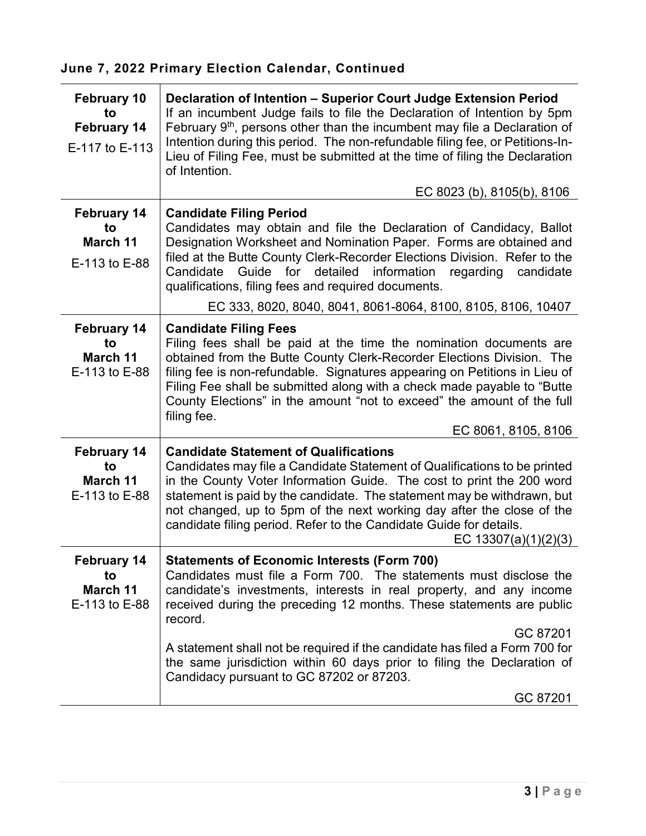| <b>February 10</b><br>to<br><b>February 14</b><br>E-117 to E-113 | Declaration of Intention - Superior Court Judge Extension Period<br>If an incumbent Judge fails to file the Declaration of Intention by 5pm<br>February 9 <sup>th</sup> , persons other than the incumbent may file a Declaration of<br>Intention during this period. The non-refundable filing fee, or Petitions-In-<br>Lieu of Filing Fee, must be submitted at the time of filing the Declaration<br>of Intention.<br>EC 8023 (b), 8105(b), 8106                                                 |
|------------------------------------------------------------------|-----------------------------------------------------------------------------------------------------------------------------------------------------------------------------------------------------------------------------------------------------------------------------------------------------------------------------------------------------------------------------------------------------------------------------------------------------------------------------------------------------|
|                                                                  |                                                                                                                                                                                                                                                                                                                                                                                                                                                                                                     |
| <b>February 14</b><br>to<br>March 11<br>E-113 to E-88            | <b>Candidate Filing Period</b><br>Candidates may obtain and file the Declaration of Candidacy, Ballot<br>Designation Worksheet and Nomination Paper. Forms are obtained and<br>filed at the Butte County Clerk-Recorder Elections Division. Refer to the<br>information<br>Guide for detailed<br>regarding<br>Candidate<br>candidate<br>qualifications, filing fees and required documents.                                                                                                         |
|                                                                  | EC 333, 8020, 8040, 8041, 8061-8064, 8100, 8105, 8106, 10407                                                                                                                                                                                                                                                                                                                                                                                                                                        |
| <b>February 14</b><br>to<br>March 11<br>E-113 to E-88            | <b>Candidate Filing Fees</b><br>Filing fees shall be paid at the time the nomination documents are<br>obtained from the Butte County Clerk-Recorder Elections Division. The<br>filing fee is non-refundable. Signatures appearing on Petitions in Lieu of<br>Filing Fee shall be submitted along with a check made payable to "Butte<br>County Elections" in the amount "not to exceed" the amount of the full<br>filing fee.<br>EC 8061, 8105, 8106                                                |
| <b>February 14</b><br>to<br>March 11<br>E-113 to E-88            | <b>Candidate Statement of Qualifications</b><br>Candidates may file a Candidate Statement of Qualifications to be printed<br>in the County Voter Information Guide. The cost to print the 200 word<br>statement is paid by the candidate. The statement may be withdrawn, but<br>not changed, up to 5pm of the next working day after the close of the<br>candidate filing period. Refer to the Candidate Guide for details.<br>EC $13307(a)(1)(2)(3)$                                              |
| <b>February 14</b><br>to<br>March 11<br>E-113 to E-88            | <b>Statements of Economic Interests (Form 700)</b><br>Candidates must file a Form 700. The statements must disclose the<br>candidate's investments, interests in real property, and any income<br>received during the preceding 12 months. These statements are public<br>record.<br>GC 87201<br>A statement shall not be required if the candidate has filed a Form 700 for<br>the same jurisdiction within 60 days prior to filing the Declaration of<br>Candidacy pursuant to GC 87202 or 87203. |
|                                                                  | GC 87201                                                                                                                                                                                                                                                                                                                                                                                                                                                                                            |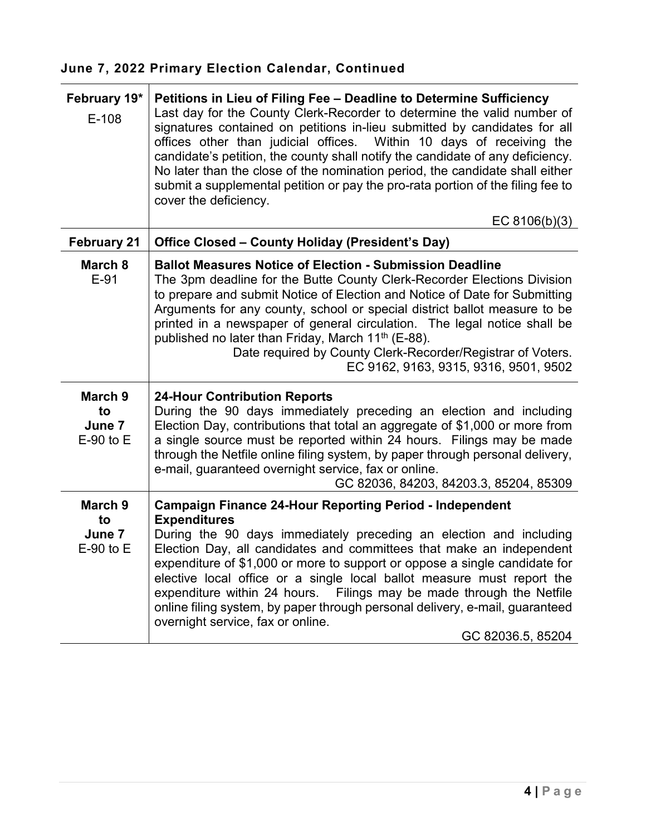| February 19*<br>$E-108$                  | Petitions in Lieu of Filing Fee - Deadline to Determine Sufficiency<br>Last day for the County Clerk-Recorder to determine the valid number of<br>signatures contained on petitions in-lieu submitted by candidates for all<br>offices other than judicial offices. Within 10 days of receiving the<br>candidate's petition, the county shall notify the candidate of any deficiency.<br>No later than the close of the nomination period, the candidate shall either<br>submit a supplemental petition or pay the pro-rata portion of the filing fee to<br>cover the deficiency.                                |
|------------------------------------------|------------------------------------------------------------------------------------------------------------------------------------------------------------------------------------------------------------------------------------------------------------------------------------------------------------------------------------------------------------------------------------------------------------------------------------------------------------------------------------------------------------------------------------------------------------------------------------------------------------------|
|                                          | EC 8106(b)(3)                                                                                                                                                                                                                                                                                                                                                                                                                                                                                                                                                                                                    |
| <b>February 21</b>                       | Office Closed - County Holiday (President's Day)                                                                                                                                                                                                                                                                                                                                                                                                                                                                                                                                                                 |
| March 8<br>$E-91$                        | <b>Ballot Measures Notice of Election - Submission Deadline</b><br>The 3pm deadline for the Butte County Clerk-Recorder Elections Division<br>to prepare and submit Notice of Election and Notice of Date for Submitting<br>Arguments for any county, school or special district ballot measure to be<br>printed in a newspaper of general circulation. The legal notice shall be<br>published no later than Friday, March 11 <sup>th</sup> (E-88).<br>Date required by County Clerk-Recorder/Registrar of Voters.<br>EC 9162, 9163, 9315, 9316, 9501, 9502                                                      |
| March 9<br>to<br>June 7<br>$E-90$ to $E$ | <b>24-Hour Contribution Reports</b><br>During the 90 days immediately preceding an election and including<br>Election Day, contributions that total an aggregate of \$1,000 or more from<br>a single source must be reported within 24 hours. Filings may be made<br>through the Netfile online filing system, by paper through personal delivery,<br>e-mail, guaranteed overnight service, fax or online.<br>GC 82036, 84203, 84203.3, 85204, 85309                                                                                                                                                             |
| March 9<br>to<br>June 7<br>$E-90$ to $E$ | <b>Campaign Finance 24-Hour Reporting Period - Independent</b><br><b>Expenditures</b><br>During the 90 days immediately preceding an election and including<br>Election Day, all candidates and committees that make an independent<br>expenditure of \$1,000 or more to support or oppose a single candidate for<br>elective local office or a single local ballot measure must report the<br>expenditure within 24 hours.<br>Filings may be made through the Netfile<br>online filing system, by paper through personal delivery, e-mail, guaranteed<br>overnight service, fax or online.<br>GC 82036.5, 85204 |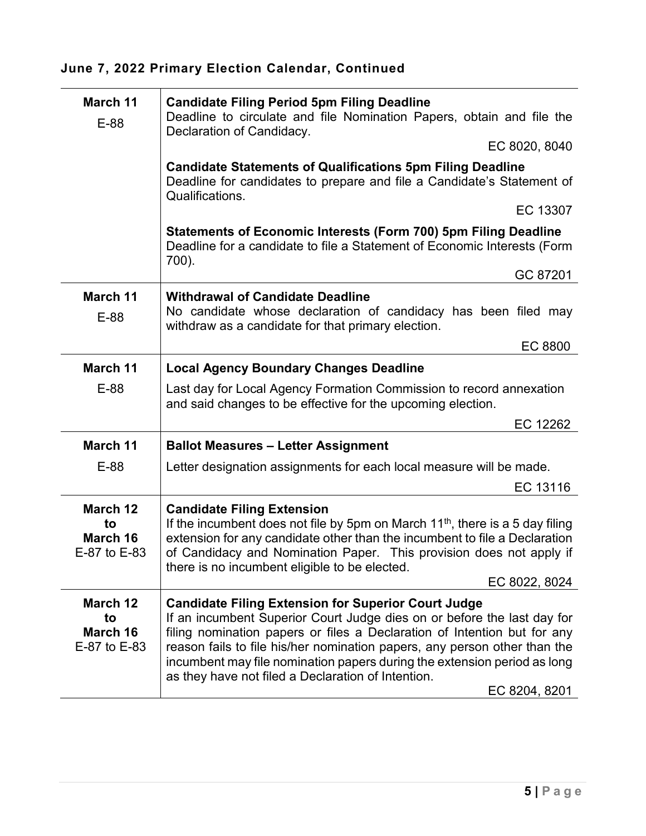| March 11<br>E-88                           | <b>Candidate Filing Period 5pm Filing Deadline</b><br>Deadline to circulate and file Nomination Papers, obtain and file the<br>Declaration of Candidacy.<br>EC 8020, 8040                                                                                                                                                                                                           |
|--------------------------------------------|-------------------------------------------------------------------------------------------------------------------------------------------------------------------------------------------------------------------------------------------------------------------------------------------------------------------------------------------------------------------------------------|
|                                            | <b>Candidate Statements of Qualifications 5pm Filing Deadline</b><br>Deadline for candidates to prepare and file a Candidate's Statement of<br>Qualifications.                                                                                                                                                                                                                      |
|                                            | EC 13307                                                                                                                                                                                                                                                                                                                                                                            |
|                                            | Statements of Economic Interests (Form 700) 5pm Filing Deadline<br>Deadline for a candidate to file a Statement of Economic Interests (Form<br>700).                                                                                                                                                                                                                                |
|                                            | GC 87201                                                                                                                                                                                                                                                                                                                                                                            |
| March 11<br>E-88                           | <b>Withdrawal of Candidate Deadline</b><br>No candidate whose declaration of candidacy has been filed may<br>withdraw as a candidate for that primary election.                                                                                                                                                                                                                     |
|                                            | EC 8800                                                                                                                                                                                                                                                                                                                                                                             |
| March 11                                   | <b>Local Agency Boundary Changes Deadline</b>                                                                                                                                                                                                                                                                                                                                       |
| $E-88$                                     | Last day for Local Agency Formation Commission to record annexation<br>and said changes to be effective for the upcoming election.                                                                                                                                                                                                                                                  |
|                                            | EC 12262                                                                                                                                                                                                                                                                                                                                                                            |
| March 11                                   | <b>Ballot Measures - Letter Assignment</b>                                                                                                                                                                                                                                                                                                                                          |
| E-88                                       | Letter designation assignments for each local measure will be made.                                                                                                                                                                                                                                                                                                                 |
|                                            | EC 13116                                                                                                                                                                                                                                                                                                                                                                            |
| March 12<br>to<br>March 16<br>E-87 to E-83 | <b>Candidate Filing Extension</b><br>If the incumbent does not file by 5pm on March $11th$ , there is a 5 day filing<br>extension for any candidate other than the incumbent to file a Declaration<br>of Candidacy and Nomination Paper. This provision does not apply if<br>there is no incumbent eligible to be elected.<br>EC 8022, 8024                                         |
| March 12                                   | <b>Candidate Filing Extension for Superior Court Judge</b>                                                                                                                                                                                                                                                                                                                          |
| to<br>March 16<br>E-87 to E-83             | If an incumbent Superior Court Judge dies on or before the last day for<br>filing nomination papers or files a Declaration of Intention but for any<br>reason fails to file his/her nomination papers, any person other than the<br>incumbent may file nomination papers during the extension period as long<br>as they have not filed a Declaration of Intention.<br>EC 8204, 8201 |
|                                            |                                                                                                                                                                                                                                                                                                                                                                                     |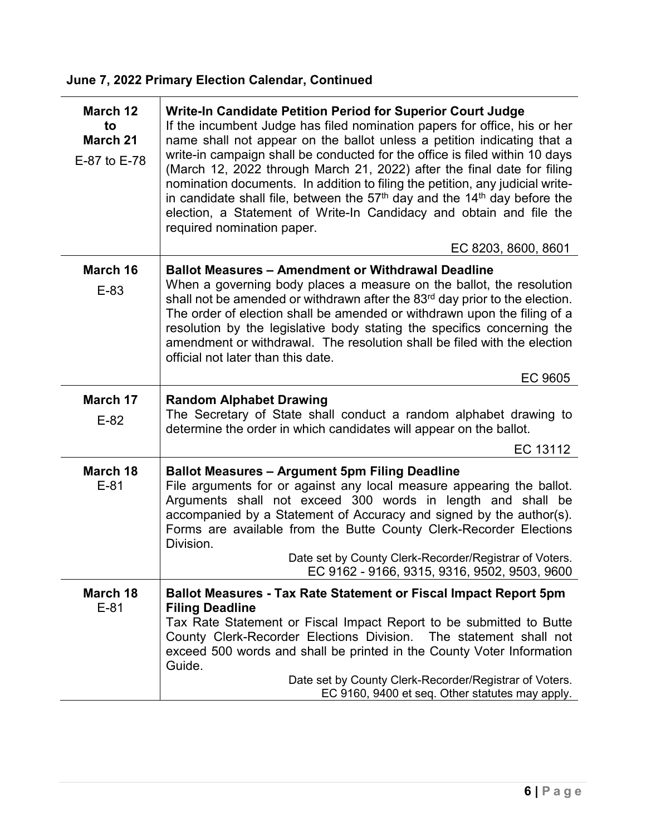| March 12<br>to<br><b>March 21</b><br>E-87 to E-78 | Write-In Candidate Petition Period for Superior Court Judge<br>If the incumbent Judge has filed nomination papers for office, his or her<br>name shall not appear on the ballot unless a petition indicating that a<br>write-in campaign shall be conducted for the office is filed within 10 days<br>(March 12, 2022 through March 21, 2022) after the final date for filing<br>nomination documents. In addition to filing the petition, any judicial write-<br>in candidate shall file, between the $57th$ day and the 14 <sup>th</sup> day before the<br>election, a Statement of Write-In Candidacy and obtain and file the<br>required nomination paper. |
|---------------------------------------------------|----------------------------------------------------------------------------------------------------------------------------------------------------------------------------------------------------------------------------------------------------------------------------------------------------------------------------------------------------------------------------------------------------------------------------------------------------------------------------------------------------------------------------------------------------------------------------------------------------------------------------------------------------------------|
|                                                   | EC 8203, 8600, 8601                                                                                                                                                                                                                                                                                                                                                                                                                                                                                                                                                                                                                                            |
| March 16                                          | <b>Ballot Measures - Amendment or Withdrawal Deadline</b><br>When a governing body places a measure on the ballot, the resolution                                                                                                                                                                                                                                                                                                                                                                                                                                                                                                                              |
| E-83                                              | shall not be amended or withdrawn after the 83 <sup>rd</sup> day prior to the election.<br>The order of election shall be amended or withdrawn upon the filing of a<br>resolution by the legislative body stating the specifics concerning the<br>amendment or withdrawal. The resolution shall be filed with the election<br>official not later than this date.                                                                                                                                                                                                                                                                                               |
|                                                   | EC 9605                                                                                                                                                                                                                                                                                                                                                                                                                                                                                                                                                                                                                                                        |
| March 17<br>$E-82$                                | <b>Random Alphabet Drawing</b><br>The Secretary of State shall conduct a random alphabet drawing to<br>determine the order in which candidates will appear on the ballot.                                                                                                                                                                                                                                                                                                                                                                                                                                                                                      |
|                                                   | EC 13112                                                                                                                                                                                                                                                                                                                                                                                                                                                                                                                                                                                                                                                       |
| March 18<br>$E-81$                                | <b>Ballot Measures - Argument 5pm Filing Deadline</b><br>File arguments for or against any local measure appearing the ballot.<br>Arguments shall not exceed 300 words in length and shall be<br>accompanied by a Statement of Accuracy and signed by the author(s).<br>Forms are available from the Butte County Clerk-Recorder Elections<br>Division.<br>Date set by County Clerk-Recorder/Registrar of Voters.<br>EC 9162 - 9166, 9315, 9316, 9502, 9503, 9600                                                                                                                                                                                              |
| March 18                                          | Ballot Measures - Tax Rate Statement or Fiscal Impact Report 5pm                                                                                                                                                                                                                                                                                                                                                                                                                                                                                                                                                                                               |
| $E-81$                                            | <b>Filing Deadline</b><br>Tax Rate Statement or Fiscal Impact Report to be submitted to Butte<br>County Clerk-Recorder Elections Division. The statement shall not<br>exceed 500 words and shall be printed in the County Voter Information<br>Guide.<br>Date set by County Clerk-Recorder/Registrar of Voters.<br>EC 9160, 9400 et seq. Other statutes may apply.                                                                                                                                                                                                                                                                                             |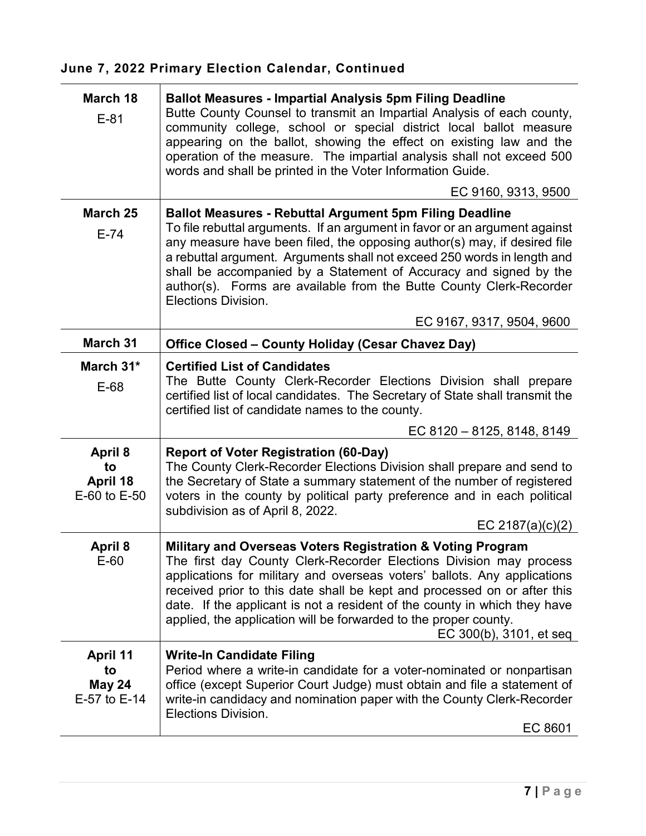| March 18<br>$E-81$                                     | <b>Ballot Measures - Impartial Analysis 5pm Filing Deadline</b><br>Butte County Counsel to transmit an Impartial Analysis of each county,<br>community college, school or special district local ballot measure<br>appearing on the ballot, showing the effect on existing law and the<br>operation of the measure. The impartial analysis shall not exceed 500<br>words and shall be printed in the Voter Information Guide.<br>EC 9160, 9313, 9500                 |
|--------------------------------------------------------|----------------------------------------------------------------------------------------------------------------------------------------------------------------------------------------------------------------------------------------------------------------------------------------------------------------------------------------------------------------------------------------------------------------------------------------------------------------------|
| March 25                                               | <b>Ballot Measures - Rebuttal Argument 5pm Filing Deadline</b>                                                                                                                                                                                                                                                                                                                                                                                                       |
| $E-74$                                                 | To file rebuttal arguments. If an argument in favor or an argument against<br>any measure have been filed, the opposing author(s) may, if desired file<br>a rebuttal argument. Arguments shall not exceed 250 words in length and<br>shall be accompanied by a Statement of Accuracy and signed by the<br>author(s). Forms are available from the Butte County Clerk-Recorder<br>Elections Division.                                                                 |
|                                                        | EC 9167, 9317, 9504, 9600                                                                                                                                                                                                                                                                                                                                                                                                                                            |
| <b>March 31</b>                                        | Office Closed - County Holiday (Cesar Chavez Day)                                                                                                                                                                                                                                                                                                                                                                                                                    |
| March 31*<br>$E-68$                                    | <b>Certified List of Candidates</b><br>The Butte County Clerk-Recorder Elections Division shall prepare<br>certified list of local candidates. The Secretary of State shall transmit the<br>certified list of candidate names to the county.                                                                                                                                                                                                                         |
|                                                        | EC 8120 - 8125, 8148, 8149                                                                                                                                                                                                                                                                                                                                                                                                                                           |
| <b>April 8</b><br>to<br>April 18<br>E-60 to E-50       | <b>Report of Voter Registration (60-Day)</b><br>The County Clerk-Recorder Elections Division shall prepare and send to<br>the Secretary of State a summary statement of the number of registered<br>voters in the county by political party preference and in each political<br>subdivision as of April 8, 2022.<br>EC 2187(a)(c)(2)                                                                                                                                 |
| <b>April 8</b><br>$E-60$                               | Military and Overseas Voters Registration & Voting Program<br>The first day County Clerk-Recorder Elections Division may process<br>applications for military and overseas voters' ballots. Any applications<br>received prior to this date shall be kept and processed on or after this<br>date. If the applicant is not a resident of the county in which they have<br>applied, the application will be forwarded to the proper county.<br>EC 300(b), 3101, et seq |
| <b>April 11</b><br>to<br><b>May 24</b><br>E-57 to E-14 | <b>Write-In Candidate Filing</b><br>Period where a write-in candidate for a voter-nominated or nonpartisan<br>office (except Superior Court Judge) must obtain and file a statement of<br>write-in candidacy and nomination paper with the County Clerk-Recorder<br>Elections Division.<br>EC 8601                                                                                                                                                                   |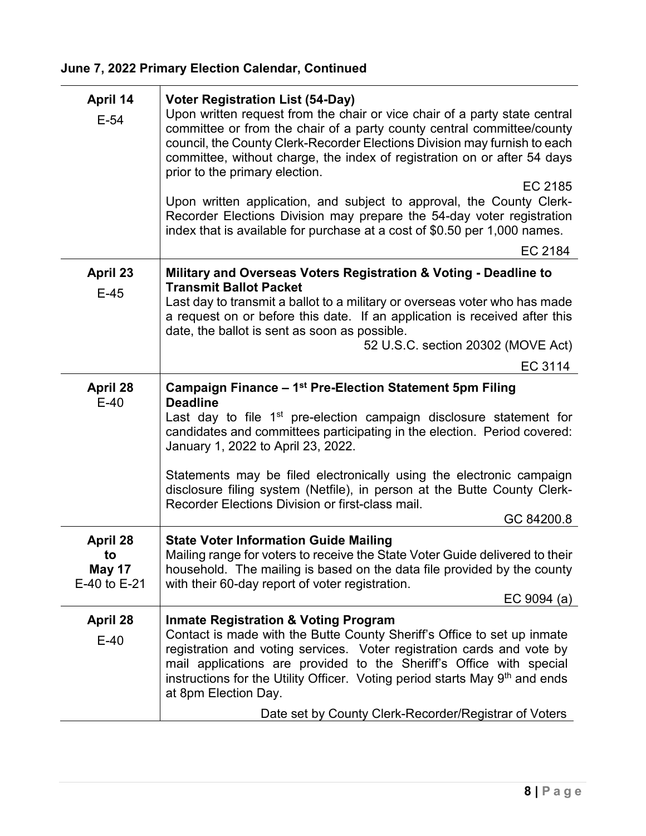| April 14<br>$E-54$                  | <b>Voter Registration List (54-Day)</b><br>Upon written request from the chair or vice chair of a party state central<br>committee or from the chair of a party county central committee/county<br>council, the County Clerk-Recorder Elections Division may furnish to each<br>committee, without charge, the index of registration on or after 54 days<br>prior to the primary election.<br>EC 2185<br>Upon written application, and subject to approval, the County Clerk-<br>Recorder Elections Division may prepare the 54-day voter registration<br>index that is available for purchase at a cost of \$0.50 per 1,000 names.<br>EC 2184 |
|-------------------------------------|------------------------------------------------------------------------------------------------------------------------------------------------------------------------------------------------------------------------------------------------------------------------------------------------------------------------------------------------------------------------------------------------------------------------------------------------------------------------------------------------------------------------------------------------------------------------------------------------------------------------------------------------|
| <b>April 23</b>                     | Military and Overseas Voters Registration & Voting - Deadline to                                                                                                                                                                                                                                                                                                                                                                                                                                                                                                                                                                               |
| $E-45$                              | <b>Transmit Ballot Packet</b><br>Last day to transmit a ballot to a military or overseas voter who has made<br>a request on or before this date. If an application is received after this<br>date, the ballot is sent as soon as possible.                                                                                                                                                                                                                                                                                                                                                                                                     |
|                                     | 52 U.S.C. section 20302 (MOVE Act)                                                                                                                                                                                                                                                                                                                                                                                                                                                                                                                                                                                                             |
|                                     | EC 3114                                                                                                                                                                                                                                                                                                                                                                                                                                                                                                                                                                                                                                        |
| <b>April 28</b><br>$E-40$           | Campaign Finance - 1 <sup>st</sup> Pre-Election Statement 5pm Filing<br><b>Deadline</b><br>Last day to file 1 <sup>st</sup> pre-election campaign disclosure statement for<br>candidates and committees participating in the election. Period covered:<br>January 1, 2022 to April 23, 2022.                                                                                                                                                                                                                                                                                                                                                   |
|                                     | Statements may be filed electronically using the electronic campaign<br>disclosure filing system (Netfile), in person at the Butte County Clerk-<br>Recorder Elections Division or first-class mail.<br>GC 84200.8                                                                                                                                                                                                                                                                                                                                                                                                                             |
| <b>April 28</b>                     | <b>State Voter Information Guide Mailing</b>                                                                                                                                                                                                                                                                                                                                                                                                                                                                                                                                                                                                   |
| to<br><b>May 17</b><br>E-40 to E-21 | Mailing range for voters to receive the State Voter Guide delivered to their<br>household. The mailing is based on the data file provided by the county<br>with their 60-day report of voter registration.                                                                                                                                                                                                                                                                                                                                                                                                                                     |
|                                     | EC 9094 $(a)$                                                                                                                                                                                                                                                                                                                                                                                                                                                                                                                                                                                                                                  |
| <b>April 28</b><br>$E-40$           | <b>Inmate Registration &amp; Voting Program</b><br>Contact is made with the Butte County Sheriff's Office to set up inmate<br>registration and voting services. Voter registration cards and vote by<br>mail applications are provided to the Sheriff's Office with special<br>instructions for the Utility Officer. Voting period starts May 9 <sup>th</sup> and ends<br>at 8pm Election Day.<br>Date set by County Clerk-Recorder/Registrar of Voters                                                                                                                                                                                        |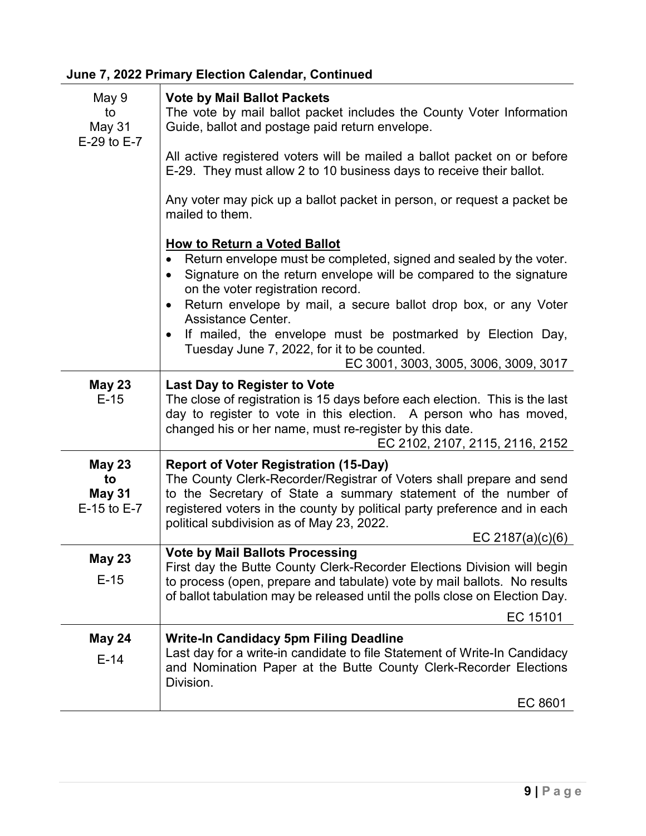| May 9<br>to<br>May 31<br>E-29 to E-7                | <b>Vote by Mail Ballot Packets</b><br>The vote by mail ballot packet includes the County Voter Information<br>Guide, ballot and postage paid return envelope.<br>All active registered voters will be mailed a ballot packet on or before<br>E-29. They must allow 2 to 10 business days to receive their ballot.<br>Any voter may pick up a ballot packet in person, or request a packet be<br>mailed to them.                                                                                       |
|-----------------------------------------------------|-------------------------------------------------------------------------------------------------------------------------------------------------------------------------------------------------------------------------------------------------------------------------------------------------------------------------------------------------------------------------------------------------------------------------------------------------------------------------------------------------------|
|                                                     | <b>How to Return a Voted Ballot</b><br>Return envelope must be completed, signed and sealed by the voter.<br>Signature on the return envelope will be compared to the signature<br>$\bullet$<br>on the voter registration record.<br>Return envelope by mail, a secure ballot drop box, or any Voter<br>$\bullet$<br><b>Assistance Center.</b><br>If mailed, the envelope must be postmarked by Election Day,<br>Tuesday June 7, 2022, for it to be counted.<br>EC 3001, 3003, 3005, 3006, 3009, 3017 |
| <b>May 23</b><br>$E-15$                             | <b>Last Day to Register to Vote</b><br>The close of registration is 15 days before each election. This is the last<br>day to register to vote in this election. A person who has moved,<br>changed his or her name, must re-register by this date.<br>EC 2102, 2107, 2115, 2116, 2152                                                                                                                                                                                                                 |
| <b>May 23</b><br>to<br><b>May 31</b><br>E-15 to E-7 | <b>Report of Voter Registration (15-Day)</b><br>The County Clerk-Recorder/Registrar of Voters shall prepare and send<br>to the Secretary of State a summary statement of the number of<br>registered voters in the county by political party preference and in each<br>political subdivision as of May 23, 2022.<br>EC 2187(a) $(c)(6)$                                                                                                                                                               |
| <b>May 23</b><br>$E-15$                             | <b>Vote by Mail Ballots Processing</b><br>First day the Butte County Clerk-Recorder Elections Division will begin<br>to process (open, prepare and tabulate) vote by mail ballots. No results<br>of ballot tabulation may be released until the polls close on Election Day.<br>EC 15101                                                                                                                                                                                                              |
| <b>May 24</b><br>$E-14$                             | <b>Write-In Candidacy 5pm Filing Deadline</b><br>Last day for a write-in candidate to file Statement of Write-In Candidacy<br>and Nomination Paper at the Butte County Clerk-Recorder Elections<br>Division.<br>EC 8601                                                                                                                                                                                                                                                                               |
|                                                     |                                                                                                                                                                                                                                                                                                                                                                                                                                                                                                       |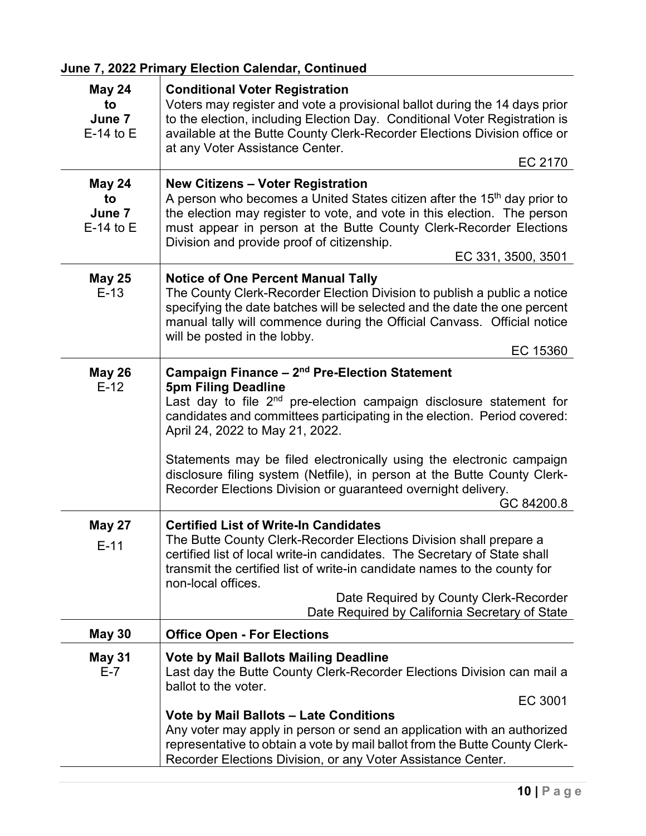| <b>May 24</b><br>to<br>June 7<br>$E-14$ to $E$ | <b>Conditional Voter Registration</b><br>Voters may register and vote a provisional ballot during the 14 days prior<br>to the election, including Election Day. Conditional Voter Registration is<br>available at the Butte County Clerk-Recorder Elections Division office or<br>at any Voter Assistance Center.<br>EC 2170                                                                                                                                                                                                 |
|------------------------------------------------|------------------------------------------------------------------------------------------------------------------------------------------------------------------------------------------------------------------------------------------------------------------------------------------------------------------------------------------------------------------------------------------------------------------------------------------------------------------------------------------------------------------------------|
| <b>May 24</b><br>to<br>June 7<br>$E-14$ to $E$ | <b>New Citizens - Voter Registration</b><br>A person who becomes a United States citizen after the 15 <sup>th</sup> day prior to<br>the election may register to vote, and vote in this election. The person<br>must appear in person at the Butte County Clerk-Recorder Elections<br>Division and provide proof of citizenship.<br>EC 331, 3500, 3501                                                                                                                                                                       |
| <b>May 25</b><br>$E-13$                        | <b>Notice of One Percent Manual Tally</b><br>The County Clerk-Recorder Election Division to publish a public a notice<br>specifying the date batches will be selected and the date the one percent<br>manual tally will commence during the Official Canvass. Official notice<br>will be posted in the lobby.<br>EC 15360                                                                                                                                                                                                    |
| <b>May 26</b><br>$E-12$                        | Campaign Finance - 2 <sup>nd</sup> Pre-Election Statement<br><b>5pm Filing Deadline</b><br>Last day to file 2 <sup>nd</sup> pre-election campaign disclosure statement for<br>candidates and committees participating in the election. Period covered:<br>April 24, 2022 to May 21, 2022.<br>Statements may be filed electronically using the electronic campaign<br>disclosure filing system (Netfile), in person at the Butte County Clerk-<br>Recorder Elections Division or guaranteed overnight delivery.<br>GC 84200.8 |
| <b>May 27</b><br>$E-11$                        | <b>Certified List of Write-In Candidates</b><br>The Butte County Clerk-Recorder Elections Division shall prepare a<br>certified list of local write-in candidates. The Secretary of State shall<br>transmit the certified list of write-in candidate names to the county for<br>non-local offices.<br>Date Required by County Clerk-Recorder<br>Date Required by California Secretary of State                                                                                                                               |
| <b>May 30</b>                                  | <b>Office Open - For Elections</b>                                                                                                                                                                                                                                                                                                                                                                                                                                                                                           |
| <b>May 31</b><br>$E-7$                         | <b>Vote by Mail Ballots Mailing Deadline</b><br>Last day the Butte County Clerk-Recorder Elections Division can mail a<br>ballot to the voter.<br>EC 3001<br><b>Vote by Mail Ballots - Late Conditions</b><br>Any voter may apply in person or send an application with an authorized<br>representative to obtain a vote by mail ballot from the Butte County Clerk-<br>Recorder Elections Division, or any Voter Assistance Center.                                                                                         |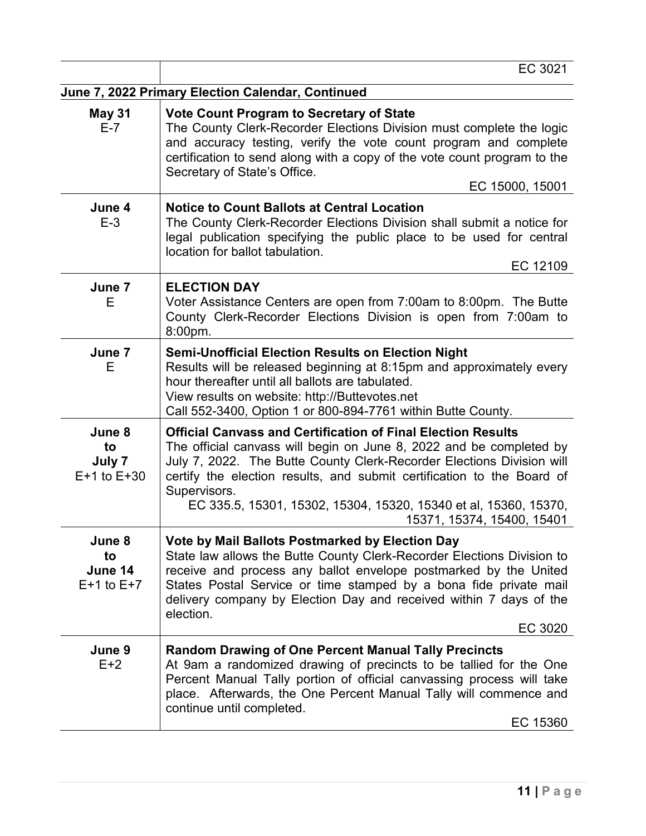|                                           | EC 3021                                                                                                                                                                                                                                                                                                                                                                                                         |
|-------------------------------------------|-----------------------------------------------------------------------------------------------------------------------------------------------------------------------------------------------------------------------------------------------------------------------------------------------------------------------------------------------------------------------------------------------------------------|
|                                           | June 7, 2022 Primary Election Calendar, Continued                                                                                                                                                                                                                                                                                                                                                               |
| <b>May 31</b><br>$E-7$                    | <b>Vote Count Program to Secretary of State</b><br>The County Clerk-Recorder Elections Division must complete the logic<br>and accuracy testing, verify the vote count program and complete<br>certification to send along with a copy of the vote count program to the<br>Secretary of State's Office.<br>EC 15000, 15001                                                                                      |
| June 4<br>$E-3$                           | <b>Notice to Count Ballots at Central Location</b><br>The County Clerk-Recorder Elections Division shall submit a notice for<br>legal publication specifying the public place to be used for central<br>location for ballot tabulation.<br>EC 12109                                                                                                                                                             |
| June 7<br>Е                               | <b>ELECTION DAY</b><br>Voter Assistance Centers are open from 7:00am to 8:00pm. The Butte<br>County Clerk-Recorder Elections Division is open from 7:00am to<br>8:00pm.                                                                                                                                                                                                                                         |
| June 7<br>Е                               | <b>Semi-Unofficial Election Results on Election Night</b><br>Results will be released beginning at 8:15pm and approximately every<br>hour thereafter until all ballots are tabulated.<br>View results on website: http://Buttevotes.net<br>Call 552-3400, Option 1 or 800-894-7761 within Butte County.                                                                                                         |
| June 8<br>to<br>July 7<br>$E+1$ to $E+30$ | <b>Official Canvass and Certification of Final Election Results</b><br>The official canvass will begin on June 8, 2022 and be completed by<br>July 7, 2022. The Butte County Clerk-Recorder Elections Division will<br>certify the election results, and submit certification to the Board of<br>Supervisors.<br>EC 335.5, 15301, 15302, 15304, 15320, 15340 et al, 15360, 15370,<br>15371, 15374, 15400, 15401 |
| June 8<br>to<br>June 14<br>$E+1$ to $E+7$ | Vote by Mail Ballots Postmarked by Election Day<br>State law allows the Butte County Clerk-Recorder Elections Division to<br>receive and process any ballot envelope postmarked by the United<br>States Postal Service or time stamped by a bona fide private mail<br>delivery company by Election Day and received within 7 days of the<br>election.<br>EC 3020                                                |
| June 9<br>$E+2$                           | <b>Random Drawing of One Percent Manual Tally Precincts</b><br>At 9am a randomized drawing of precincts to be tallied for the One<br>Percent Manual Tally portion of official canvassing process will take<br>place. Afterwards, the One Percent Manual Tally will commence and<br>continue until completed.<br>EC 15360                                                                                        |